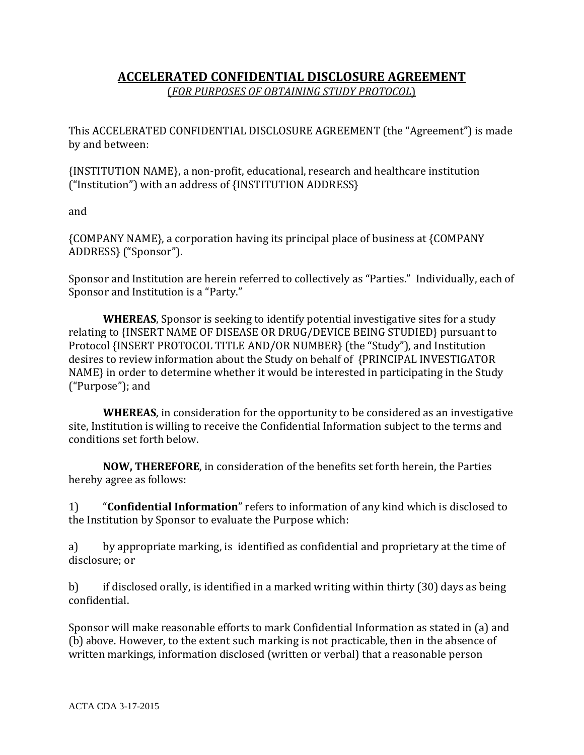## **ACCELERATED CONFIDENTIAL DISCLOSURE AGREEMENT** (*FOR PURPOSES OF OBTAINING STUDY PROTOCOL*)

This ACCELERATED CONFIDENTIAL DISCLOSURE AGREEMENT (the "Agreement") is made by and between:

{INSTITUTION NAME}, a non-profit, educational, research and healthcare institution ("Institution") with an address of {INSTITUTION ADDRESS}

and

{COMPANY NAME}, a corporation having its principal place of business at {COMPANY ADDRESS} ("Sponsor").

Sponsor and Institution are herein referred to collectively as "Parties." Individually, each of Sponsor and Institution is a "Party."

**WHEREAS**, Sponsor is seeking to identify potential investigative sites for a study relating to {INSERT NAME OF DISEASE OR DRUG/DEVICE BEING STUDIED} pursuant to Protocol {INSERT PROTOCOL TITLE AND/OR NUMBER} (the "Study"), and Institution desires to review information about the Study on behalf of {PRINCIPAL INVESTIGATOR NAME} in order to determine whether it would be interested in participating in the Study ("Purpose"); and

**WHEREAS**, in consideration for the opportunity to be considered as an investigative site, Institution is willing to receive the Confidential Information subject to the terms and conditions set forth below.

**NOW, THEREFORE**, in consideration of the benefits set forth herein, the Parties hereby agree as follows:

1) "**Confidential Information**" refers to information of any kind which is disclosed to the Institution by Sponsor to evaluate the Purpose which:

a) by appropriate marking, is identified as confidential and proprietary at the time of disclosure; or

b) if disclosed orally, is identified in a marked writing within thirty (30) days as being confidential.

Sponsor will make reasonable efforts to mark Confidential Information as stated in (a) and (b) above. However, to the extent such marking is not practicable, then in the absence of written markings, information disclosed (written or verbal) that a reasonable person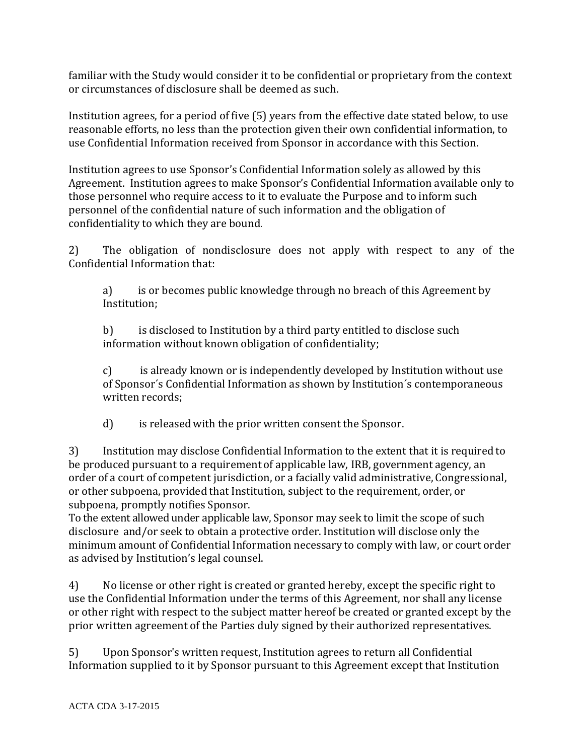familiar with the Study would consider it to be confidential or proprietary from the context or circumstances of disclosure shall be deemed as such.

Institution agrees, for a period of five (5) years from the effective date stated below, to use reasonable efforts, no less than the protection given their own confidential information, to use Confidential Information received from Sponsor in accordance with this Section.

Institution agrees to use Sponsor's Confidential Information solely as allowed by this Agreement. Institution agrees to make Sponsor's Confidential Information available only to those personnel who require access to it to evaluate the Purpose and to inform such personnel of the confidential nature of such information and the obligation of confidentiality to which they are bound.

2) The obligation of nondisclosure does not apply with respect to any of the Confidential Information that:

a) is or becomes public knowledge through no breach of this Agreement by Institution;

b) is disclosed to Institution by a third party entitled to disclose such information without known obligation of confidentiality;

c) is already known or is independently developed by Institution without use of Sponsor´s Confidential Information as shown by Institution´s contemporaneous written records;

d) is released with the prior written consent the Sponsor.

3) Institution may disclose Confidential Information to the extent that it is required to be produced pursuant to a requirement of applicable law, IRB, government agency, an order of a court of competent jurisdiction, or a facially valid administrative, Congressional, or other subpoena, provided that Institution, subject to the requirement, order, or subpoena, promptly notifies Sponsor.

To the extent allowed under applicable law, Sponsor may seek to limit the scope of such disclosure and/or seek to obtain a protective order. Institution will disclose only the minimum amount of Confidential Information necessary to comply with law, or court order as advised by Institution's legal counsel.

4) No license or other right is created or granted hereby, except the specific right to use the Confidential Information under the terms of this Agreement, nor shall any license or other right with respect to the subject matter hereof be created or granted except by the prior written agreement of the Parties duly signed by their authorized representatives.

5) Upon Sponsor's written request, Institution agrees to return all Confidential Information supplied to it by Sponsor pursuant to this Agreement except that Institution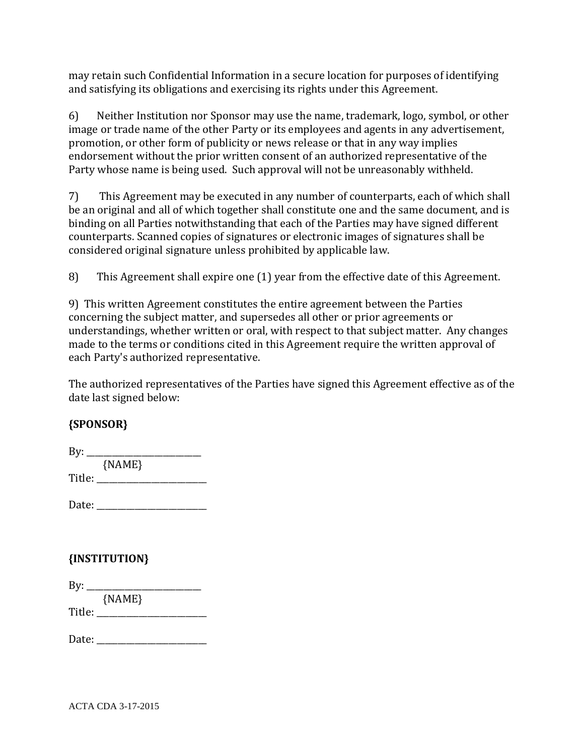may retain such Confidential Information in a secure location for purposes of identifying and satisfying its obligations and exercising its rights under this Agreement.

6) Neither Institution nor Sponsor may use the name, trademark, logo, symbol, or other image or trade name of the other Party or its employees and agents in any advertisement, promotion, or other form of publicity or news release or that in any way implies endorsement without the prior written consent of an authorized representative of the Party whose name is being used. Such approval will not be unreasonably withheld.

7) This Agreement may be executed in any number of counterparts, each of which shall be an original and all of which together shall constitute one and the same document, and is binding on all Parties notwithstanding that each of the Parties may have signed different counterparts. Scanned copies of signatures or electronic images of signatures shall be considered original signature unless prohibited by applicable law.

8) This Agreement shall expire one (1) year from the effective date of this Agreement.

9) This written Agreement constitutes the entire agreement between the Parties concerning the subject matter, and supersedes all other or prior agreements or understandings, whether written or oral, with respect to that subject matter. Any changes made to the terms or conditions cited in this Agreement require the written approval of each Party's authorized representative.

The authorized representatives of the Parties have signed this Agreement effective as of the date last signed below:

## **{SPONSOR}**

| By:    |          |
|--------|----------|
|        | ${NAME}$ |
| Title: |          |
|        |          |

## **{INSTITUTION}**

| By:    |          |  |
|--------|----------|--|
|        | ${NAME}$ |  |
| Title: |          |  |